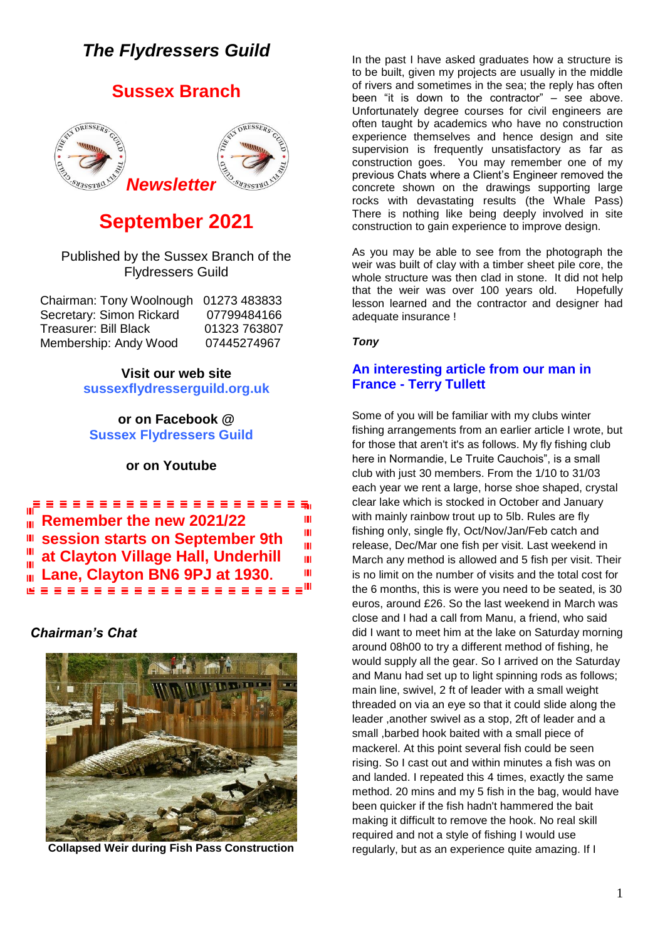# *The Flydressers Guild*

## **Sussex Branch**



# **September 2021**

## Published by the Sussex Branch of the Flydressers Guild

| Chairman: Tony Woolnough 01273 483833 |              |
|---------------------------------------|--------------|
| Secretary: Simon Rickard              | 07799484166  |
| <b>Treasurer: Bill Black</b>          | 01323 763807 |
| Membership: Andy Wood                 | 07445274967  |

**Visit our web site sussexflydresserguild.org.uk**

### **or on Facebook @ Sussex Flydressers Guild**

## **or on Youtube**

**Remember the new 2021/22** ===================<sub>=</sub> ш m. Ш III. **session starts on September 9th**  Ш Ш **at Clayton Village Hall, Underhill**  ш **Lane, Clayton BN6 9PJ at 1930.**Ш ш

## *Chairman's Chat*



**Collapsed Weir during Fish Pass Construction**

In the past I have asked graduates how a structure is to be built, given my projects are usually in the middle of rivers and sometimes in the sea; the reply has often been "it is down to the contractor" – see above. Unfortunately degree courses for civil engineers are often taught by academics who have no construction experience themselves and hence design and site supervision is frequently unsatisfactory as far as construction goes. You may remember one of my previous Chats where a Client's Engineer removed the concrete shown on the drawings supporting large rocks with devastating results (the Whale Pass) There is nothing like being deeply involved in site construction to gain experience to improve design.

As you may be able to see from the photograph the weir was built of clay with a timber sheet pile core, the whole structure was then clad in stone. It did not help that the weir was over 100 years old. Hopefully lesson learned and the contractor and designer had adequate insurance !

*Tony*

## **An interesting article from our man in France - Terry Tullett**

Some of you will be familiar with my clubs winter fishing arrangements from an earlier article I wrote, but for those that aren't it's as follows. My fly fishing club here in Normandie, Le Truite Cauchois", is a small club with just 30 members. From the 1/10 to 31/03 each year we rent a large, horse shoe shaped, crystal clear lake which is stocked in October and January with mainly rainbow trout up to 5lb. Rules are fly fishing only, single fly, Oct/Nov/Jan/Feb catch and release, Dec/Mar one fish per visit. Last weekend in March any method is allowed and 5 fish per visit. Their is no limit on the number of visits and the total cost for the 6 months, this is were you need to be seated, is 30 euros, around £26. So the last weekend in March was close and I had a call from Manu, a friend, who said did I want to meet him at the lake on Saturday morning around 08h00 to try a different method of fishing, he would supply all the gear. So I arrived on the Saturday and Manu had set up to light spinning rods as follows; main line, swivel, 2 ft of leader with a small weight threaded on via an eye so that it could slide along the leader ,another swivel as a stop, 2ft of leader and a small ,barbed hook baited with a small piece of mackerel. At this point several fish could be seen rising. So I cast out and within minutes a fish was on and landed. I repeated this 4 times, exactly the same method. 20 mins and my 5 fish in the bag, would have been quicker if the fish hadn't hammered the bait making it difficult to remove the hook. No real skill required and not a style of fishing I would use regularly, but as an experience quite amazing. If I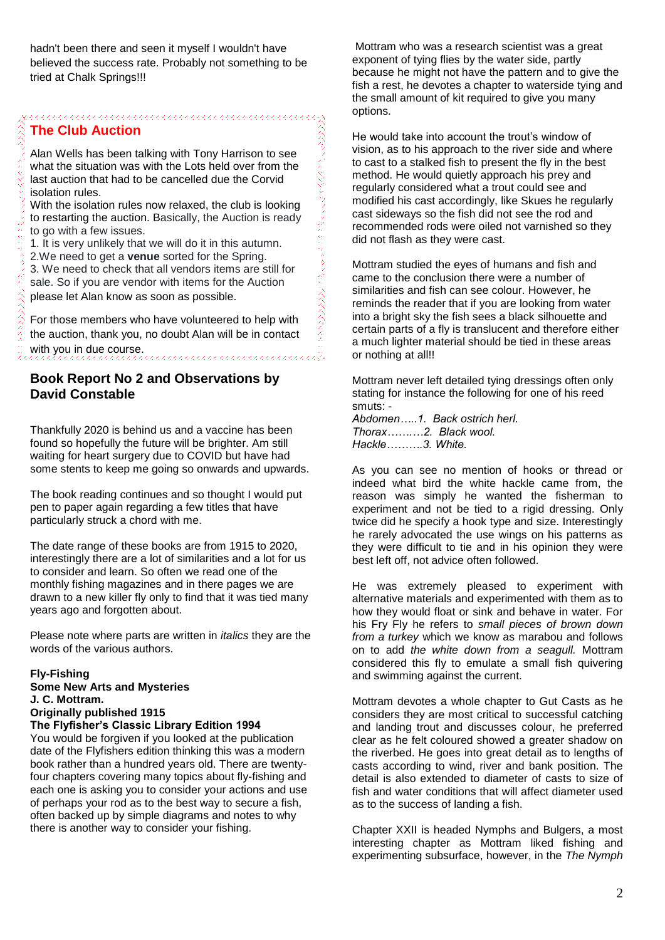## **The Club Auction**

Alan Wells has been talking with Tony Harrison to see what the situation was with the Lots held over from the last auction that had to be cancelled due the Corvid isolation rules.

With the isolation rules now relaxed, the club is looking to restarting the auction. Basically, the Auction is ready to go with a few issues.

1. It is very unlikely that we will do it in this autumn.

2.We need to get a **venue** sorted for the Spring. 3. We need to check that all vendors items are still for sale. So if you are vendor with items for the Auction please let Alan know as soon as possible.

For those members who have volunteered to help with the auction, thank you, no doubt Alan will be in contact with you in due course.

## **Book Report No 2 and Observations by David Constable**

Thankfully 2020 is behind us and a vaccine has been found so hopefully the future will be brighter. Am still waiting for heart surgery due to COVID but have had some stents to keep me going so onwards and upwards.

The book reading continues and so thought I would put pen to paper again regarding a few titles that have particularly struck a chord with me.

The date range of these books are from 1915 to 2020, interestingly there are a lot of similarities and a lot for us to consider and learn. So often we read one of the monthly fishing magazines and in there pages we are drawn to a new killer fly only to find that it was tied many years ago and forgotten about.

Please note where parts are written in *italics* they are the words of the various authors.

#### **Fly-Fishing**

**Some New Arts and Mysteries J. C. Mottram. Originally published 1915 The Flyfisher's Classic Library Edition 1994**

You would be forgiven if you looked at the publication date of the Flyfishers edition thinking this was a modern book rather than a hundred years old. There are twentyfour chapters covering many topics about fly-fishing and each one is asking you to consider your actions and use of perhaps your rod as to the best way to secure a fish, often backed up by simple diagrams and notes to why there is another way to consider your fishing.

Mottram who was a research scientist was a great exponent of tying flies by the water side, partly because he might not have the pattern and to give the fish a rest, he devotes a chapter to waterside tying and the small amount of kit required to give you many options.

He would take into account the trout's window of vision, as to his approach to the river side and where to cast to a stalked fish to present the fly in the best method. He would quietly approach his prey and regularly considered what a trout could see and modified his cast accordingly, like Skues he regularly cast sideways so the fish did not see the rod and recommended rods were oiled not varnished so they did not flash as they were cast.

Mottram studied the eyes of humans and fish and came to the conclusion there were a number of similarities and fish can see colour. However, he reminds the reader that if you are looking from water into a bright sky the fish sees a black silhouette and certain parts of a fly is translucent and therefore either a much lighter material should be tied in these areas or nothing at all!!

Mottram never left detailed tying dressings often only stating for instance the following for one of his reed smuts: -

*Abdomen…..1. Back ostrich herl. Thorax…….…2. Black wool. Hackle……….3. White.*

してきりょう

As you can see no mention of hooks or thread or indeed what bird the white hackle came from, the reason was simply he wanted the fisherman to experiment and not be tied to a rigid dressing. Only twice did he specify a hook type and size. Interestingly he rarely advocated the use wings on his patterns as they were difficult to tie and in his opinion they were best left off, not advice often followed.

He was extremely pleased to experiment with alternative materials and experimented with them as to how they would float or sink and behave in water. For his Fry Fly he refers to *small pieces of brown down from a turkey* which we know as marabou and follows on to add *the white down from a seagull.* Mottram considered this fly to emulate a small fish quivering and swimming against the current.

Mottram devotes a whole chapter to Gut Casts as he considers they are most critical to successful catching and landing trout and discusses colour, he preferred clear as he felt coloured showed a greater shadow on the riverbed. He goes into great detail as to lengths of casts according to wind, river and bank position. The detail is also extended to diameter of casts to size of fish and water conditions that will affect diameter used as to the success of landing a fish.

Chapter XXII is headed Nymphs and Bulgers, a most interesting chapter as Mottram liked fishing and experimenting subsurface, however, in the *The Nymph*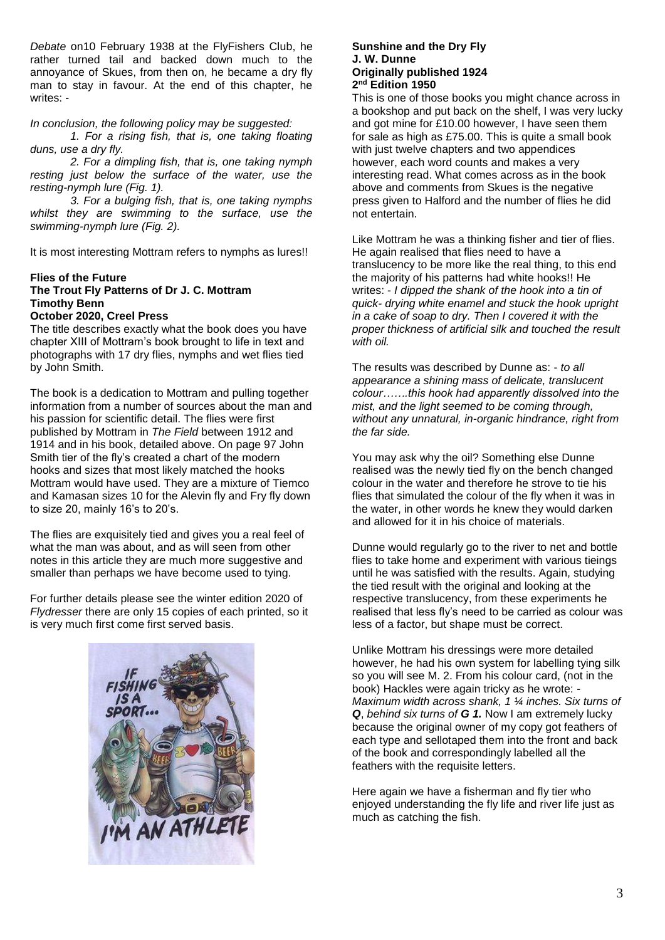*Debate* on10 February 1938 at the FlyFishers Club, he rather turned tail and backed down much to the annoyance of Skues, from then on, he became a dry fly man to stay in favour. At the end of this chapter, he writes: -

#### *In conclusion, the following policy may be suggested:*

*1. For a rising fish, that is, one taking floating duns, use a dry fly.*

*2. For a dimpling fish, that is, one taking nymph resting just below the surface of the water, use the resting-nymph lure (Fig. 1).*

*3. For a bulging fish, that is, one taking nymphs whilst they are swimming to the surface, use the swimming-nymph lure (Fig. 2).*

It is most interesting Mottram refers to nymphs as lures!!

#### **Flies of the Future The Trout Fly Patterns of Dr J. C. Mottram Timothy Benn October 2020, Creel Press**

The title describes exactly what the book does you have chapter XIII of Mottram's book brought to life in text and photographs with 17 dry flies, nymphs and wet flies tied by John Smith.

The book is a dedication to Mottram and pulling together information from a number of sources about the man and his passion for scientific detail. The flies were first published by Mottram in *The Field* between 1912 and 1914 and in his book, detailed above. On page 97 John Smith tier of the fly's created a chart of the modern hooks and sizes that most likely matched the hooks Mottram would have used. They are a mixture of Tiemco and Kamasan sizes 10 for the Alevin fly and Fry fly down to size 20, mainly 16's to 20's.

The flies are exquisitely tied and gives you a real feel of what the man was about, and as will seen from other notes in this article they are much more suggestive and smaller than perhaps we have become used to tying.

For further details please see the winter edition 2020 of *Flydresser* there are only 15 copies of each printed, so it is very much first come first served basis.



#### **Sunshine and the Dry Fly J. W. Dunne Originally published 1924 2 nd Edition 1950**

This is one of those books you might chance across in a bookshop and put back on the shelf, I was very lucky and got mine for £10.00 however, I have seen them for sale as high as £75.00. This is quite a small book with just twelve chapters and two appendices however, each word counts and makes a very interesting read. What comes across as in the book above and comments from Skues is the negative press given to Halford and the number of flies he did not entertain.

Like Mottram he was a thinking fisher and tier of flies. He again realised that flies need to have a translucency to be more like the real thing, to this end the majority of his patterns had white hooks!! He writes: - *I dipped the shank of the hook into a tin of quick- drying white enamel and stuck the hook upright in a cake of soap to dry. Then I covered it with the proper thickness of artificial silk and touched the result with oil.* 

The results was described by Dunne as: - *to all appearance a shining mass of delicate, translucent colour…….this hook had apparently dissolved into the mist, and the light seemed to be coming through, without any unnatural, in-organic hindrance, right from the far side.* 

You may ask why the oil? Something else Dunne realised was the newly tied fly on the bench changed colour in the water and therefore he strove to tie his flies that simulated the colour of the fly when it was in the water, in other words he knew they would darken and allowed for it in his choice of materials.

Dunne would regularly go to the river to net and bottle flies to take home and experiment with various tieings until he was satisfied with the results. Again, studying the tied result with the original and looking at the respective translucency, from these experiments he realised that less fly's need to be carried as colour was less of a factor, but shape must be correct.

Unlike Mottram his dressings were more detailed however, he had his own system for labelling tying silk so you will see M. 2. From his colour card, (not in the book) Hackles were again tricky as he wrote: - *Maximum width across shank, 1 ¼ inches. Six turns of Q*, *behind six turns of G 1.* Now I am extremely lucky because the original owner of my copy got feathers of each type and sellotaped them into the front and back of the book and correspondingly labelled all the feathers with the requisite letters.

Here again we have a fisherman and fly tier who enjoyed understanding the fly life and river life just as much as catching the fish.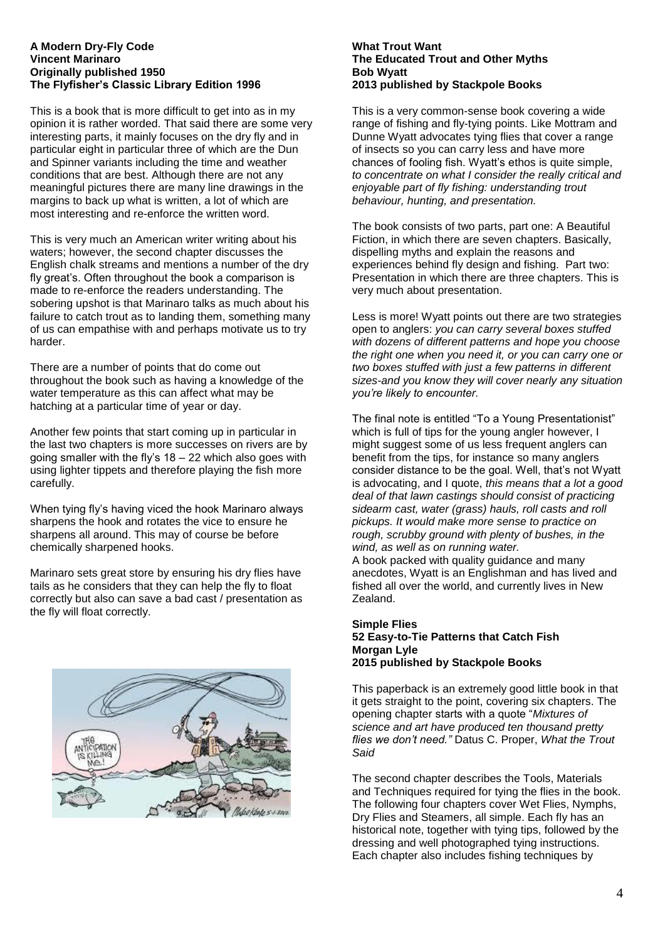#### **A Modern Dry-Fly Code Vincent Marinaro Originally published 1950 The Flyfisher's Classic Library Edition 1996**

This is a book that is more difficult to get into as in my opinion it is rather worded. That said there are some very interesting parts, it mainly focuses on the dry fly and in particular eight in particular three of which are the Dun and Spinner variants including the time and weather conditions that are best. Although there are not any meaningful pictures there are many line drawings in the margins to back up what is written, a lot of which are most interesting and re-enforce the written word.

This is very much an American writer writing about his waters; however, the second chapter discusses the English chalk streams and mentions a number of the dry fly great's. Often throughout the book a comparison is made to re-enforce the readers understanding. The sobering upshot is that Marinaro talks as much about his failure to catch trout as to landing them, something many of us can empathise with and perhaps motivate us to try harder.

There are a number of points that do come out throughout the book such as having a knowledge of the water temperature as this can affect what may be hatching at a particular time of year or day.

Another few points that start coming up in particular in the last two chapters is more successes on rivers are by going smaller with the fly's 18 – 22 which also goes with using lighter tippets and therefore playing the fish more carefully.

When tying fly's having viced the hook Marinaro always sharpens the hook and rotates the vice to ensure he sharpens all around. This may of course be before chemically sharpened hooks.

Marinaro sets great store by ensuring his dry flies have tails as he considers that they can help the fly to float correctly but also can save a bad cast / presentation as the fly will float correctly.



#### **What Trout Want The Educated Trout and Other Myths Bob Wyatt 2013 published by Stackpole Books**

This is a very common-sense book covering a wide range of fishing and fly-tying points. Like Mottram and Dunne Wyatt advocates tying flies that cover a range of insects so you can carry less and have more chances of fooling fish. Wyatt's ethos is quite simple, *to concentrate on what I consider the really critical and enjoyable part of fly fishing: understanding trout behaviour, hunting, and presentation.*

The book consists of two parts, part one: A Beautiful Fiction, in which there are seven chapters. Basically, dispelling myths and explain the reasons and experiences behind fly design and fishing. Part two: Presentation in which there are three chapters. This is very much about presentation.

Less is more! Wyatt points out there are two strategies open to anglers: *you can carry several boxes stuffed with dozens of different patterns and hope you choose the right one when you need it, or you can carry one or two boxes stuffed with just a few patterns in different sizes-and you know they will cover nearly any situation you're likely to encounter.* 

The final note is entitled "To a Young Presentationist" which is full of tips for the young angler however, I might suggest some of us less frequent anglers can benefit from the tips, for instance so many anglers consider distance to be the goal. Well, that's not Wyatt is advocating, and I quote, *this means that a lot a good deal of that lawn castings should consist of practicing sidearm cast, water (grass) hauls, roll casts and roll pickups. It would make more sense to practice on rough, scrubby ground with plenty of bushes, in the wind, as well as on running water.*

A book packed with quality guidance and many anecdotes, Wyatt is an Englishman and has lived and fished all over the world, and currently lives in New Zealand.

#### **Simple Flies 52 Easy-to-Tie Patterns that Catch Fish Morgan Lyle 2015 published by Stackpole Books**

This paperback is an extremely good little book in that it gets straight to the point, covering six chapters. The opening chapter starts with a quote "*Mixtures of science and art have produced ten thousand pretty flies we don't need."* Datus C. Proper, *What the Trout Said* 

The second chapter describes the Tools, Materials and Techniques required for tying the flies in the book. The following four chapters cover Wet Flies, Nymphs, Dry Flies and Steamers, all simple. Each fly has an historical note, together with tying tips, followed by the dressing and well photographed tying instructions. Each chapter also includes fishing techniques by